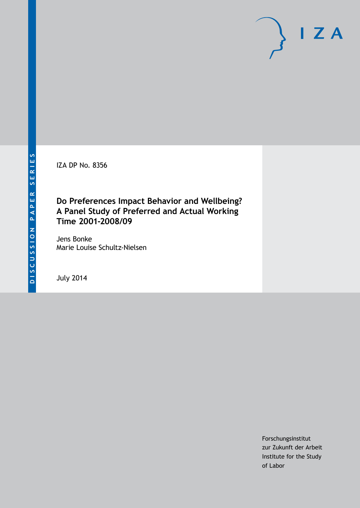IZA DP No. 8356

# **Do Preferences Impact Behavior and Wellbeing? A Panel Study of Preferred and Actual Working Time 2001-2008/09**

Jens Bonke Marie Louise Schultz-Nielsen

July 2014

Forschungsinstitut zur Zukunft der Arbeit Institute for the Study of Labor

 $I Z A$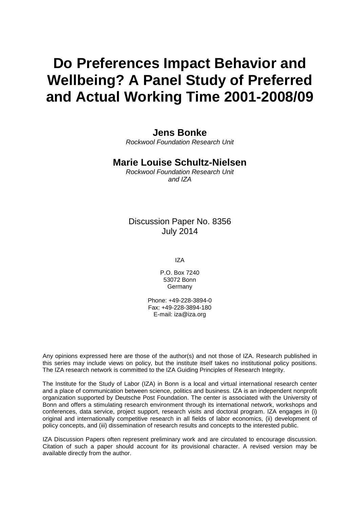# **Do Preferences Impact Behavior and Wellbeing? A Panel Study of Preferred and Actual Working Time 2001-2008/09**

### **Jens Bonke**

*Rockwool Foundation Research Unit*

### **Marie Louise Schultz-Nielsen**

*Rockwool Foundation Research Unit and IZA*

### Discussion Paper No. 8356 July 2014

IZA

P.O. Box 7240 53072 Bonn Germany

Phone: +49-228-3894-0 Fax: +49-228-3894-180 E-mail: [iza@iza.org](mailto:iza@iza.org)

Any opinions expressed here are those of the author(s) and not those of IZA. Research published in this series may include views on policy, but the institute itself takes no institutional policy positions. The IZA research network is committed to the IZA Guiding Principles of Research Integrity.

The Institute for the Study of Labor (IZA) in Bonn is a local and virtual international research center and a place of communication between science, politics and business. IZA is an independent nonprofit organization supported by Deutsche Post Foundation. The center is associated with the University of Bonn and offers a stimulating research environment through its international network, workshops and conferences, data service, project support, research visits and doctoral program. IZA engages in (i) original and internationally competitive research in all fields of labor economics, (ii) development of policy concepts, and (iii) dissemination of research results and concepts to the interested public.

IZA Discussion Papers often represent preliminary work and are circulated to encourage discussion. Citation of such a paper should account for its provisional character. A revised version may be available directly from the author.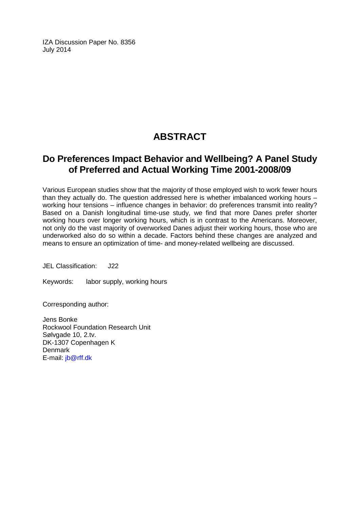IZA Discussion Paper No. 8356 July 2014

# **ABSTRACT**

## **Do Preferences Impact Behavior and Wellbeing? A Panel Study of Preferred and Actual Working Time 2001-2008/09**

Various European studies show that the majority of those employed wish to work fewer hours than they actually do. The question addressed here is whether imbalanced working hours – working hour tensions – influence changes in behavior: do preferences transmit into reality? Based on a Danish longitudinal time-use study, we find that more Danes prefer shorter working hours over longer working hours, which is in contrast to the Americans. Moreover, not only do the vast majority of overworked Danes adjust their working hours, those who are underworked also do so within a decade. Factors behind these changes are analyzed and means to ensure an optimization of time- and money-related wellbeing are discussed.

JEL Classification: J22

Keywords: labor supply, working hours

Corresponding author:

Jens Bonke Rockwool Foundation Research Unit Sølvgade 10, 2.tv. DK-1307 Copenhagen K **Denmark** E-mail: [jb@rff.dk](mailto:jb@rff.dk)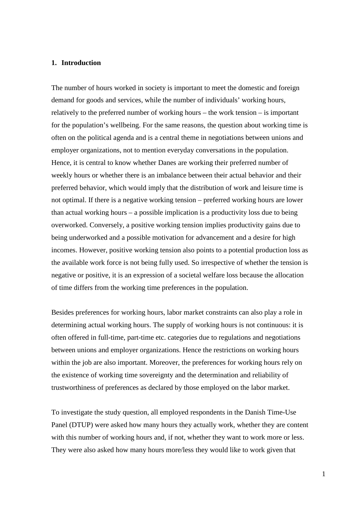#### **1. Introduction**

The number of hours worked in society is important to meet the domestic and foreign demand for goods and services, while the number of individuals' working hours, relatively to the preferred number of working hours – the work tension – is important for the population's wellbeing. For the same reasons, the question about working time is often on the political agenda and is a central theme in negotiations between unions and employer organizations, not to mention everyday conversations in the population. Hence, it is central to know whether Danes are working their preferred number of weekly hours or whether there is an imbalance between their actual behavior and their preferred behavior, which would imply that the distribution of work and leisure time is not optimal. If there is a negative working tension – preferred working hours are lower than actual working hours – a possible implication is a productivity loss due to being overworked. Conversely, a positive working tension implies productivity gains due to being underworked and a possible motivation for advancement and a desire for high incomes. However, positive working tension also points to a potential production loss as the available work force is not being fully used. So irrespective of whether the tension is negative or positive, it is an expression of a societal welfare loss because the allocation of time differs from the working time preferences in the population.

Besides preferences for working hours, labor market constraints can also play a role in determining actual working hours. The supply of working hours is not continuous: it is often offered in full-time, part-time etc. categories due to regulations and negotiations between unions and employer organizations. Hence the restrictions on working hours within the job are also important. Moreover, the preferences for working hours rely on the existence of working time sovereignty and the determination and reliability of trustworthiness of preferences as declared by those employed on the labor market.

To investigate the study question, all employed respondents in the Danish Time-Use Panel (DTUP) were asked how many hours they actually work, whether they are content with this number of working hours and, if not, whether they want to work more or less. They were also asked how many hours more/less they would like to work given that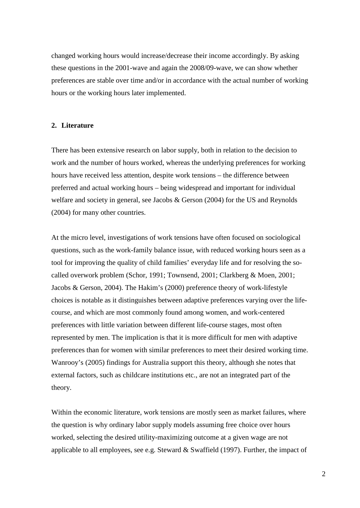changed working hours would increase/decrease their income accordingly. By asking these questions in the 2001-wave and again the 2008/09-wave, we can show whether preferences are stable over time and/or in accordance with the actual number of working hours or the working hours later implemented.

#### **2. Literature**

There has been extensive research on labor supply, both in relation to the decision to work and the number of hours worked, whereas the underlying preferences for working hours have received less attention, despite work tensions – the difference between preferred and actual working hours – being widespread and important for individual welfare and society in general, see Jacobs & Gerson (2004) for the US and Reynolds (2004) for many other countries.

At the micro level, investigations of work tensions have often focused on sociological questions, such as the work-family balance issue, with reduced working hours seen as a tool for improving the quality of child families' everyday life and for resolving the socalled overwork problem (Schor, 1991; Townsend, 2001; Clarkberg & Moen, 2001; Jacobs & Gerson, 2004). The Hakim's (2000) preference theory of work-lifestyle choices is notable as it distinguishes between adaptive preferences varying over the lifecourse, and which are most commonly found among women, and work-centered preferences with little variation between different life-course stages, most often represented by men. The implication is that it is more difficult for men with adaptive preferences than for women with similar preferences to meet their desired working time. Wanrooy's (2005) findings for Australia support this theory, although she notes that external factors, such as childcare institutions etc., are not an integrated part of the theory.

Within the economic literature, work tensions are mostly seen as market failures, where the question is why ordinary labor supply models assuming free choice over hours worked, selecting the desired utility-maximizing outcome at a given wage are not applicable to all employees, see e.g. Steward & Swaffield (1997). Further, the impact of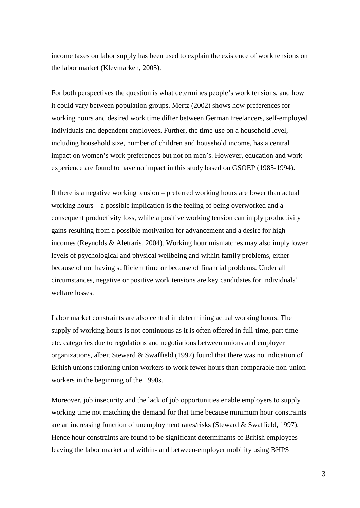income taxes on labor supply has been used to explain the existence of work tensions on the labor market (Klevmarken, 2005).

For both perspectives the question is what determines people's work tensions, and how it could vary between population groups. Mertz (2002) shows how preferences for working hours and desired work time differ between German freelancers, self-employed individuals and dependent employees. Further, the time-use on a household level, including household size, number of children and household income, has a central impact on women's work preferences but not on men's. However, education and work experience are found to have no impact in this study based on GSOEP (1985-1994).

If there is a negative working tension – preferred working hours are lower than actual working hours – a possible implication is the feeling of being overworked and a consequent productivity loss, while a positive working tension can imply productivity gains resulting from a possible motivation for advancement and a desire for high incomes (Reynolds & Aletraris, 2004). Working hour mismatches may also imply lower levels of psychological and physical wellbeing and within family problems, either because of not having sufficient time or because of financial problems. Under all circumstances, negative or positive work tensions are key candidates for individuals' welfare losses.

Labor market constraints are also central in determining actual working hours. The supply of working hours is not continuous as it is often offered in full-time, part time etc. categories due to regulations and negotiations between unions and employer organizations, albeit Steward & Swaffield (1997) found that there was no indication of British unions rationing union workers to work fewer hours than comparable non-union workers in the beginning of the 1990s.

Moreover, job insecurity and the lack of job opportunities enable employers to supply working time not matching the demand for that time because minimum hour constraints are an increasing function of unemployment rates/risks (Steward & Swaffield, 1997). Hence hour constraints are found to be significant determinants of British employees leaving the labor market and within- and between-employer mobility using BHPS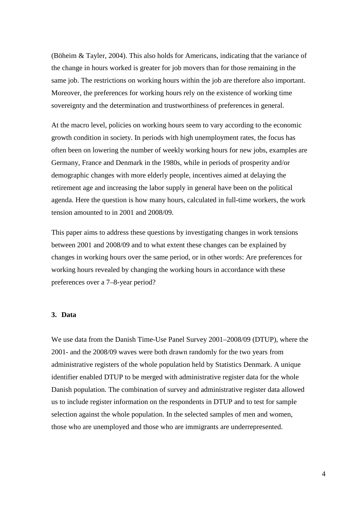(Böheim & Tayler, 2004). This also holds for Americans, indicating that the variance of the change in hours worked is greater for job movers than for those remaining in the same job. The restrictions on working hours within the job are therefore also important. Moreover, the preferences for working hours rely on the existence of working time sovereignty and the determination and trustworthiness of preferences in general.

At the macro level, policies on working hours seem to vary according to the economic growth condition in society. In periods with high unemployment rates, the focus has often been on lowering the number of weekly working hours for new jobs, examples are Germany, France and Denmark in the 1980s, while in periods of prosperity and/or demographic changes with more elderly people, incentives aimed at delaying the retirement age and increasing the labor supply in general have been on the political agenda. Here the question is how many hours, calculated in full-time workers, the work tension amounted to in 2001 and 2008/09.

This paper aims to address these questions by investigating changes in work tensions between 2001 and 2008/09 and to what extent these changes can be explained by changes in working hours over the same period, or in other words: Are preferences for working hours revealed by changing the working hours in accordance with these preferences over a 7–8-year period?

#### **3. Data**

We use data from the Danish Time-Use Panel Survey 2001–2008/09 (DTUP), where the 2001- and the 2008/09 waves were both drawn randomly for the two years from administrative registers of the whole population held by Statistics Denmark. A unique identifier enabled DTUP to be merged with administrative register data for the whole Danish population. The combination of survey and administrative register data allowed us to include register information on the respondents in DTUP and to test for sample selection against the whole population. In the selected samples of men and women, those who are unemployed and those who are immigrants are underrepresented.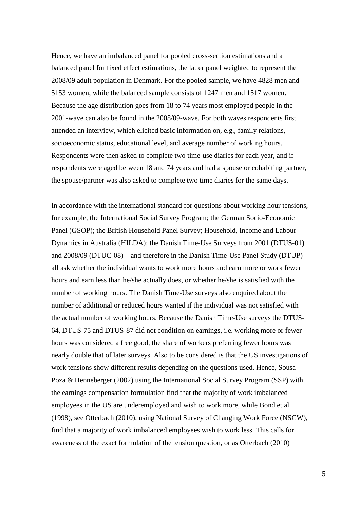Hence, we have an imbalanced panel for pooled cross-section estimations and a balanced panel for fixed effect estimations, the latter panel weighted to represent the 2008/09 adult population in Denmark. For the pooled sample, we have 4828 men and 5153 women, while the balanced sample consists of 1247 men and 1517 women. Because the age distribution goes from 18 to 74 years most employed people in the 2001-wave can also be found in the 2008/09-wave. For both waves respondents first attended an interview, which elicited basic information on, e.g., family relations, socioeconomic status, educational level, and average number of working hours. Respondents were then asked to complete two time-use diaries for each year, and if respondents were aged between 18 and 74 years and had a spouse or cohabiting partner, the spouse/partner was also asked to complete two time diaries for the same days.

In accordance with the international standard for questions about working hour tensions, for example, the International Social Survey Program; the German Socio-Economic Panel (GSOP); the British Household Panel Survey; Household, Income and Labour Dynamics in Australia (HILDA); the Danish Time-Use Surveys from 2001 (DTUS-01) and 2008/09 (DTUC-08) – and therefore in the Danish Time-Use Panel Study (DTUP) all ask whether the individual wants to work more hours and earn more or work fewer hours and earn less than he/she actually does, or whether he/she is satisfied with the number of working hours. The Danish Time-Use surveys also enquired about the number of additional or reduced hours wanted if the individual was not satisfied with the actual number of working hours. Because the Danish Time-Use surveys the DTUS-64, DTUS-75 and DTUS-87 did not condition on earnings, i.e. working more or fewer hours was considered a free good, the share of workers preferring fewer hours was nearly double that of later surveys. Also to be considered is that the US investigations of work tensions show different results depending on the questions used. Hence, Sousa-Poza & Henneberger (2002) using the International Social Survey Program (SSP) with the earnings compensation formulation find that the majority of work imbalanced employees in the US are underemployed and wish to work more, while Bond et al. (1998), see Otterbach (2010), using National Survey of Changing Work Force (NSCW), find that a majority of work imbalanced employees wish to work less. This calls for awareness of the exact formulation of the tension question, or as Otterbach (2010)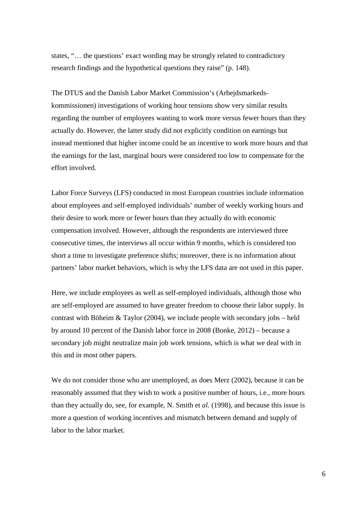states, "… the questions' exact wording may be strongly related to contradictory research findings and the hypothetical questions they raise" (p. 148).

The DTUS and the Danish Labor Market Commission's (Arbejdsmarkedskommissionen) investigations of working hour tensions show very similar results regarding the number of employees wanting to work more versus fewer hours than they actually do. However, the latter study did not explicitly condition on earnings but instead mentioned that higher income could be an incentive to work more hours and that the earnings for the last, marginal hours were considered too low to compensate for the effort involved.

Labor Force Surveys (LFS) conducted in most European countries include information about employees and self-employed individuals' number of weekly working hours and their desire to work more or fewer hours than they actually do with economic compensation involved. However, although the respondents are interviewed three consecutive times, the interviews all occur within 9 months, which is considered too short a time to investigate preference shifts; moreover, there is no information about partners' labor market behaviors, which is why the LFS data are not used in this paper.

Here, we include employees as well as self-employed individuals, although those who are self-employed are assumed to have greater freedom to choose their labor supply. In contrast with Böheim  $& Taylor (2004)$ , we include people with secondary jobs – held by around 10 percent of the Danish labor force in 2008 (Bonke, 2012) – because a secondary job might neutralize main job work tensions, which is what we deal with in this and in most other papers.

We do not consider those who are unemployed, as does Merz (2002), because it can be reasonably assumed that they wish to work a positive number of hours, i.e., more hours than they actually do, see, for example, N. Smith et *al.* (1998), and because this issue is more a question of working incentives and mismatch between demand and supply of labor to the labor market.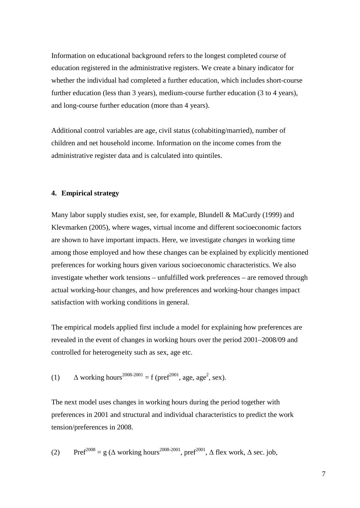Information on educational background refers to the longest completed course of education registered in the administrative registers. We create a binary indicator for whether the individual had completed a further education, which includes short-course further education (less than 3 years), medium-course further education (3 to 4 years), and long-course further education (more than 4 years).

Additional control variables are age, civil status (cohabiting/married), number of children and net household income. Information on the income comes from the administrative register data and is calculated into quintiles.

#### **4. Empirical strategy**

Many labor supply studies exist, see, for example, Blundell & MaCurdy (1999) and Klevmarken (2005), where wages, virtual income and different socioeconomic factors are shown to have important impacts. Here, we investigate *changes* in working time among those employed and how these changes can be explained by explicitly mentioned preferences for working hours given various socioeconomic characteristics. We also investigate whether work tensions – unfulfilled work preferences – are removed through actual working-hour changes, and how preferences and working-hour changes impact satisfaction with working conditions in general.

The empirical models applied first include a model for explaining how preferences are revealed in the event of changes in working hours over the period 2001–2008/09 and controlled for heterogeneity such as sex, age etc.

(1) 
$$
\Delta
$$
 working hours<sup>2008-2001</sup> = f (pref<sup>2001</sup>, age, age<sup>2</sup>, sex).

The next model uses changes in working hours during the period together with preferences in 2001 and structural and individual characteristics to predict the work tension/preferences in 2008.

(2) 
$$
Pref^{2008} = g (\Delta \text{ working hours}^{2008 \cdot 2001}, pref^{2001}, \Delta \text{ flex work}, \Delta \text{ sec. job},
$$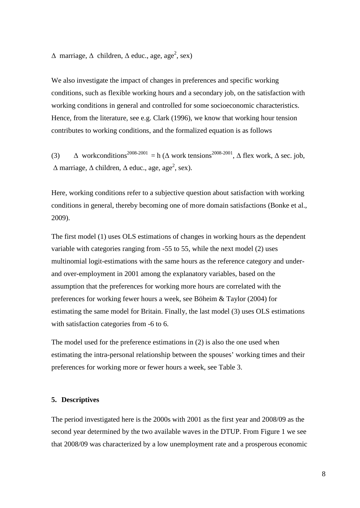$\Delta$  marriage,  $\Delta$  children,  $\Delta$  educ., age, age<sup>2</sup>, sex)

We also investigate the impact of changes in preferences and specific working conditions, such as flexible working hours and a secondary job, on the satisfaction with working conditions in general and controlled for some socioeconomic characteristics. Hence, from the literature, see e.g. Clark (1996), we know that working hour tension contributes to working conditions, and the formalized equation is as follows

(3)  $\Delta$  workconditions<sup>2008-2001</sup> = h ( $\Delta$  work tensions<sup>2008-2001</sup>,  $\Delta$  flex work,  $\Delta$  sec. job,  $\Delta$  marriage,  $\Delta$  children,  $\Delta$  educ., age, age<sup>2</sup>, sex).

Here, working conditions refer to a subjective question about satisfaction with working conditions in general, thereby becoming one of more domain satisfactions (Bonke et al., 2009).

The first model (1) uses OLS estimations of changes in working hours as the dependent variable with categories ranging from -55 to 55, while the next model (2) uses multinomial logit-estimations with the same hours as the reference category and underand over-employment in 2001 among the explanatory variables, based on the assumption that the preferences for working more hours are correlated with the preferences for working fewer hours a week, see Böheim & Taylor (2004) for estimating the same model for Britain. Finally, the last model (3) uses OLS estimations with satisfaction categories from -6 to 6.

The model used for the preference estimations in (2) is also the one used when estimating the intra-personal relationship between the spouses' working times and their preferences for working more or fewer hours a week, see Table 3.

#### **5. Descriptives**

The period investigated here is the 2000s with 2001 as the first year and 2008/09 as the second year determined by the two available waves in the DTUP. From Figure 1 we see that 2008/09 was characterized by a low unemployment rate and a prosperous economic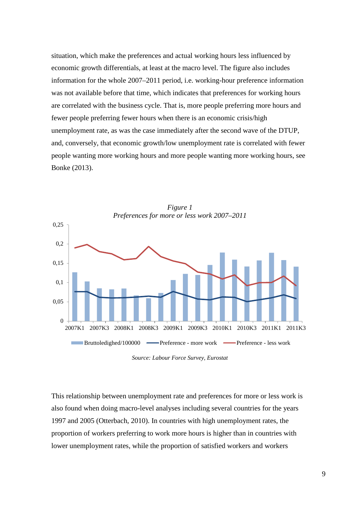situation, which make the preferences and actual working hours less influenced by economic growth differentials, at least at the macro level. The figure also includes information for the whole 2007–2011 period, i.e. working-hour preference information was not available before that time, which indicates that preferences for working hours are correlated with the business cycle. That is, more people preferring more hours and fewer people preferring fewer hours when there is an economic crisis/high unemployment rate, as was the case immediately after the second wave of the DTUP, and, conversely, that economic growth/low unemployment rate is correlated with fewer people wanting more working hours and more people wanting more working hours, see Bonke (2013).



*Figure 1*

*Source: Labour Force Survey, Eurostat*

This relationship between unemployment rate and preferences for more or less work is also found when doing macro-level analyses including several countries for the years 1997 and 2005 (Otterbach, 2010). In countries with high unemployment rates, the proportion of workers preferring to work more hours is higher than in countries with lower unemployment rates, while the proportion of satisfied workers and workers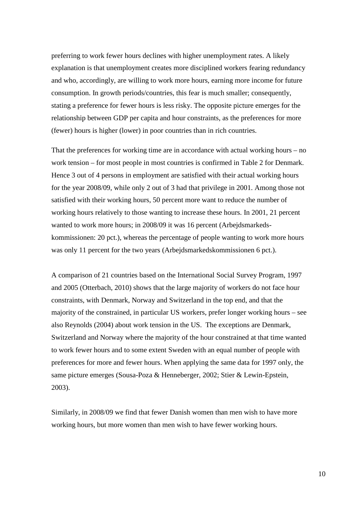preferring to work fewer hours declines with higher unemployment rates. A likely explanation is that unemployment creates more disciplined workers fearing redundancy and who, accordingly, are willing to work more hours, earning more income for future consumption. In growth periods/countries, this fear is much smaller; consequently, stating a preference for fewer hours is less risky. The opposite picture emerges for the relationship between GDP per capita and hour constraints, as the preferences for more (fewer) hours is higher (lower) in poor countries than in rich countries.

That the preferences for working time are in accordance with actual working hours – no work tension – for most people in most countries is confirmed in Table 2 for Denmark. Hence 3 out of 4 persons in employment are satisfied with their actual working hours for the year 2008/09, while only 2 out of 3 had that privilege in 2001. Among those not satisfied with their working hours, 50 percent more want to reduce the number of working hours relatively to those wanting to increase these hours. In 2001, 21 percent wanted to work more hours; in 2008/09 it was 16 percent (Arbejdsmarkedskommissionen: 20 pct.), whereas the percentage of people wanting to work more hours was only 11 percent for the two years (Arbejdsmarkedskommissionen 6 pct.).

A comparison of 21 countries based on the International Social Survey Program, 1997 and 2005 (Otterbach, 2010) shows that the large majority of workers do not face hour constraints, with Denmark, Norway and Switzerland in the top end, and that the majority of the constrained, in particular US workers, prefer longer working hours – see also Reynolds (2004) about work tension in the US. The exceptions are Denmark, Switzerland and Norway where the majority of the hour constrained at that time wanted to work fewer hours and to some extent Sweden with an equal number of people with preferences for more and fewer hours. When applying the same data for 1997 only, the same picture emerges (Sousa-Poza & Henneberger, 2002; Stier & Lewin-Epstein, 2003).

Similarly, in 2008/09 we find that fewer Danish women than men wish to have more working hours, but more women than men wish to have fewer working hours.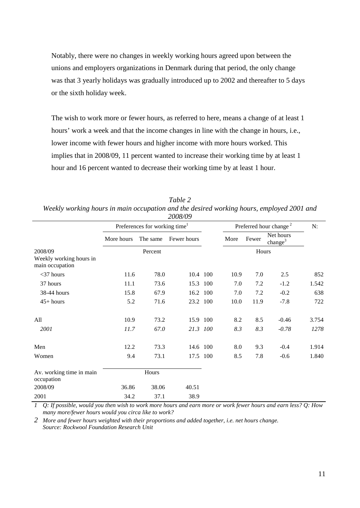Notably, there were no changes in weekly working hours agreed upon between the unions and employers organizations in Denmark during that period, the only change was that 3 yearly holidays was gradually introduced up to 2002 and thereafter to 5 days or the sixth holiday week.

The wish to work more or fewer hours, as referred to here, means a change of at least 1 hours' work a week and that the income changes in line with the change in hours, i.e., lower income with fewer hours and higher income with more hours worked. This implies that in 2008/09, 11 percent wanted to increase their working time by at least 1 hour and 16 percent wanted to decrease their working time by at least 1 hour.

|                                                       |            |                                           | 2008/09     |      |       |                                    |       |
|-------------------------------------------------------|------------|-------------------------------------------|-------------|------|-------|------------------------------------|-------|
|                                                       |            | Preferences for working time <sup>1</sup> |             |      |       | Preferred hour change <sup>2</sup> | N:    |
|                                                       | More hours | The same                                  | Fewer hours | More | Fewer | Net hours<br>change <sup>3</sup>   |       |
| 2008/09<br>Weekly working hours in<br>main occupation |            | Percent                                   |             |      | Hours |                                    |       |
| $<$ 37 hours                                          | 11.6       | 78.0                                      | 10.4 100    | 10.9 | 7.0   | 2.5                                | 852   |
| 37 hours                                              | 11.1       | 73.6                                      | 15.3 100    | 7.0  | 7.2   | $-1.2$                             | 1.542 |
| 38-44 hours                                           | 15.8       | 67.9                                      | 16.2 100    | 7.0  | 7.2   | $-0.2$                             | 638   |
| $45+ hours$                                           | 5.2        | 71.6                                      | 23.2 100    | 10.0 | 11.9  | $-7.8$                             | 722   |
| All                                                   | 10.9       | 73.2                                      | 15.9 100    | 8.2  | 8.5   | $-0.46$                            | 3.754 |
| 2001                                                  | 11.7       | 67.0                                      | 21.3 100    | 8.3  | 8.3   | $-0.78$                            | 1278  |
| Men                                                   | 12.2       | 73.3                                      | 14.6 100    | 8.0  | 9.3   | $-0.4$                             | 1.914 |
| Women                                                 | 9.4        | 73.1                                      | 17.5 100    | 8.5  | 7.8   | $-0.6$                             | 1.840 |
| Av. working time in main<br>occupation                |            | Hours                                     |             |      |       |                                    |       |
| 2008/09                                               | 36.86      | 38.06                                     | 40.51       |      |       |                                    |       |
| 2001                                                  | 34.2       | 37.1                                      | 38.9        |      |       |                                    |       |

*Table 2 Weekly working hours in main occupation and the desired working hours, employed 2001 and 2008/09*

*1 Q: If possible, would you then wish to work more hours and earn more or work fewer hours and earn less? Q: How many more/fewer hours would you circa like to work?*

*2 More and fewer hours weighted with their proportions and added together, i.e. net hours change. Source: Rockwool Foundation Research Unit*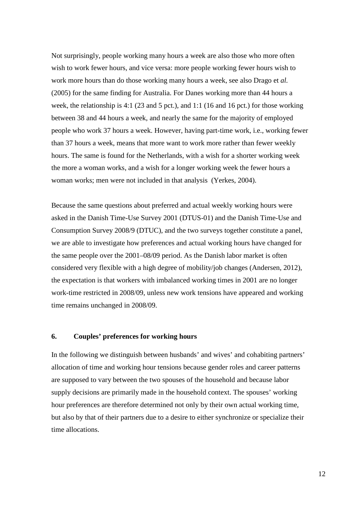Not surprisingly, people working many hours a week are also those who more often wish to work fewer hours, and vice versa: more people working fewer hours wish to work more hours than do those working many hours a week, see also Drago et *al.* (2005) for the same finding for Australia. For Danes working more than 44 hours a week, the relationship is 4:1 (23 and 5 pct.), and 1:1 (16 and 16 pct.) for those working between 38 and 44 hours a week, and nearly the same for the majority of employed people who work 37 hours a week. However, having part-time work, i.e., working fewer than 37 hours a week, means that more want to work more rather than fewer weekly hours. The same is found for the Netherlands, with a wish for a shorter working week the more a woman works, and a wish for a longer working week the fewer hours a woman works; men were not included in that analysis (Yerkes, 2004).

Because the same questions about preferred and actual weekly working hours were asked in the Danish Time-Use Survey 2001 (DTUS-01) and the Danish Time-Use and Consumption Survey 2008/9 (DTUC), and the two surveys together constitute a panel, we are able to investigate how preferences and actual working hours have changed for the same people over the 2001–08/09 period. As the Danish labor market is often considered very flexible with a high degree of mobility/job changes (Andersen, 2012), the expectation is that workers with imbalanced working times in 2001 are no longer work-time restricted in 2008/09, unless new work tensions have appeared and working time remains unchanged in 2008/09.

#### **6. Couples' preferences for working hours**

In the following we distinguish between husbands' and wives' and cohabiting partners' allocation of time and working hour tensions because gender roles and career patterns are supposed to vary between the two spouses of the household and because labor supply decisions are primarily made in the household context. The spouses' working hour preferences are therefore determined not only by their own actual working time, but also by that of their partners due to a desire to either synchronize or specialize their time allocations.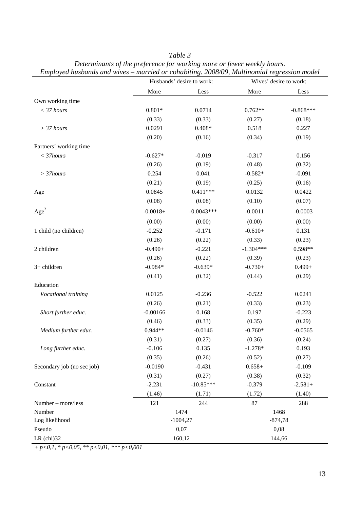*Table 3*

|                            |            | Husbands' desire to work: | Wives' desire to work: |             |  |  |
|----------------------------|------------|---------------------------|------------------------|-------------|--|--|
|                            | More       | Less                      | More                   | Less        |  |  |
| Own working time           |            |                           |                        |             |  |  |
| $<$ 37 hours               | $0.801*$   | 0.0714                    | $0.762**$              | $-0.868***$ |  |  |
|                            | (0.33)     | (0.33)                    | (0.27)                 | (0.18)      |  |  |
| $>$ 37 hours               | 0.0291     | $0.408*$                  | 0.518                  | 0.227       |  |  |
|                            | (0.20)     | (0.16)                    | (0.34)                 | (0.19)      |  |  |
| Partners' working time     |            |                           |                        |             |  |  |
| $<$ 37 $hours$             | $-0.627*$  | $-0.019$                  | $-0.317$               | 0.156       |  |  |
|                            | (0.26)     | (0.19)                    | (0.48)                 | (0.32)      |  |  |
| $>$ 37 $hours$             | 0.254      | 0.041                     | $-0.582*$              | $-0.091$    |  |  |
|                            | (0.21)     | (0.19)                    | (0.25)                 | (0.16)      |  |  |
| Age                        | 0.0845     | $0.411***$                | 0.0132                 | 0.0422      |  |  |
|                            | (0.08)     | (0.08)                    | (0.10)                 | (0.07)      |  |  |
| Age <sup>2</sup>           | $-0.0018+$ | $-0.0043***$              | $-0.0011$              | $-0.0003$   |  |  |
|                            | (0.00)     | (0.00)                    | (0.00)                 | (0.00)      |  |  |
| 1 child (no children)      | $-0.252$   | $-0.171$                  | $-0.610+$              | 0.131       |  |  |
|                            | (0.26)     | (0.22)                    | (0.33)                 | (0.23)      |  |  |
| 2 children                 | $-0.490+$  | $-0.221$                  | $-1.304***$            | $0.598**$   |  |  |
|                            | (0.26)     | (0.22)                    | (0.39)                 | (0.23)      |  |  |
| 3+ children                | $-0.984*$  | $-0.639*$                 | $-0.730+$              | $0.499 +$   |  |  |
|                            | (0.41)     | (0.32)                    | (0.44)                 | (0.29)      |  |  |
| Education                  |            |                           |                        |             |  |  |
| Vocational training        | 0.0125     | $-0.236$                  | $-0.522$               | 0.0241      |  |  |
|                            | (0.26)     | (0.21)                    | (0.33)                 | (0.23)      |  |  |
| Short further educ.        | $-0.00166$ | 0.168                     | 0.197                  | $-0.223$    |  |  |
|                            | (0.46)     | (0.33)                    | (0.35)                 | (0.29)      |  |  |
| Medium further educ.       | $0.944**$  | $-0.0146$                 | $-0.760*$              | $-0.0565$   |  |  |
|                            | (0.31)     | (0.27)                    | (0.36)                 | (0.24)      |  |  |
| Long further educ.         | $-0.106$   | 0.135                     | $-1.278*$              | 0.193       |  |  |
|                            | (0.35)     | (0.26)                    | (0.52)                 | (0.27)      |  |  |
| Secondary job (no sec job) | $-0.0190$  | $-0.431$                  | $0.658+$               | $-0.109$    |  |  |
|                            | (0.31)     | (0.27)                    | (0.38)                 | (0.32)      |  |  |
| Constant                   | $-2.231$   | $-10.85***$               | $-0.379$               | $-2.581+$   |  |  |
|                            | (1.46)     | (1.71)                    | (1.72)                 | (1.40)      |  |  |
| Number - more/less         | 121        | 244                       | 87                     | 288         |  |  |
| Number                     |            | 1474                      | 1468                   |             |  |  |
| Log likelihood             |            | $-1004,27$                |                        | $-874,78$   |  |  |
| Pseudo                     |            | 0,07                      | 0,08                   |             |  |  |
| $LR$ (chi) $32$            | 160,12     | 144,66                    |                        |             |  |  |

*Determinants of the preference for working more or fewer weekly hours. Employed husbands and wives – married or cohabiting. 2008/09, Multinomial regression model*

*+ p<0,1, \* p<0,05, \*\* p<0,01, \*\*\* p<0,001*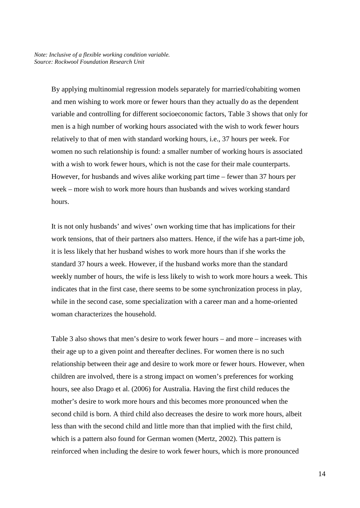By applying multinomial regression models separately for married/cohabiting women and men wishing to work more or fewer hours than they actually do as the dependent variable and controlling for different socioeconomic factors, Table 3 shows that only for men is a high number of working hours associated with the wish to work fewer hours relatively to that of men with standard working hours, i.e., 37 hours per week. For women no such relationship is found: a smaller number of working hours is associated with a wish to work fewer hours, which is not the case for their male counterparts. However, for husbands and wives alike working part time – fewer than 37 hours per week – more wish to work more hours than husbands and wives working standard hours.

It is not only husbands' and wives' own working time that has implications for their work tensions, that of their partners also matters. Hence, if the wife has a part-time job, it is less likely that her husband wishes to work more hours than if she works the standard 37 hours a week. However, if the husband works more than the standard weekly number of hours, the wife is less likely to wish to work more hours a week. This indicates that in the first case, there seems to be some synchronization process in play, while in the second case, some specialization with a career man and a home-oriented woman characterizes the household.

Table 3 also shows that men's desire to work fewer hours – and more – increases with their age up to a given point and thereafter declines. For women there is no such relationship between their age and desire to work more or fewer hours. However, when children are involved, there is a strong impact on women's preferences for working hours, see also Drago et al. (2006) for Australia. Having the first child reduces the mother's desire to work more hours and this becomes more pronounced when the second child is born. A third child also decreases the desire to work more hours, albeit less than with the second child and little more than that implied with the first child, which is a pattern also found for German women (Mertz, 2002). This pattern is reinforced when including the desire to work fewer hours, which is more pronounced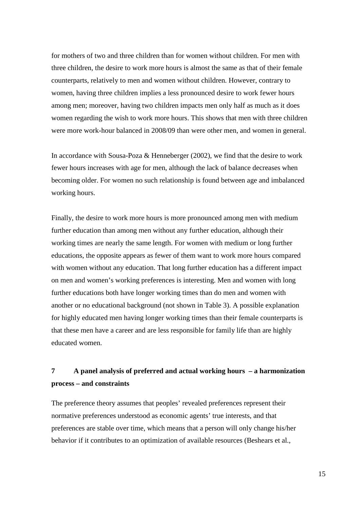for mothers of two and three children than for women without children. For men with three children, the desire to work more hours is almost the same as that of their female counterparts, relatively to men and women without children. However, contrary to women, having three children implies a less pronounced desire to work fewer hours among men; moreover, having two children impacts men only half as much as it does women regarding the wish to work more hours. This shows that men with three children were more work-hour balanced in 2008/09 than were other men, and women in general.

In accordance with Sousa-Poza & Henneberger (2002), we find that the desire to work fewer hours increases with age for men, although the lack of balance decreases when becoming older. For women no such relationship is found between age and imbalanced working hours.

Finally, the desire to work more hours is more pronounced among men with medium further education than among men without any further education, although their working times are nearly the same length. For women with medium or long further educations, the opposite appears as fewer of them want to work more hours compared with women without any education. That long further education has a different impact on men and women's working preferences is interesting. Men and women with long further educations both have longer working times than do men and women with another or no educational background (not shown in Table 3). A possible explanation for highly educated men having longer working times than their female counterparts is that these men have a career and are less responsible for family life than are highly educated women.

### **7 A panel analysis of preferred and actual working hours – a harmonization process – and constraints**

The preference theory assumes that peoples' revealed preferences represent their normative preferences understood as economic agents' true interests, and that preferences are stable over time, which means that a person will only change his/her behavior if it contributes to an optimization of available resources (Beshears et al.,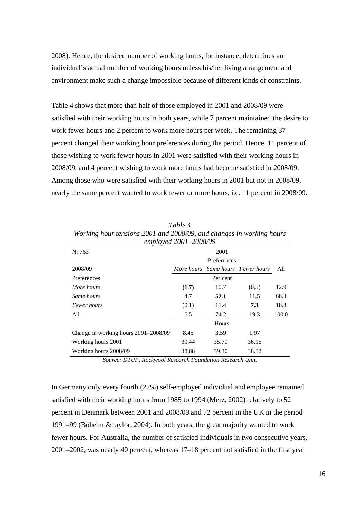2008). Hence, the desired number of working hours, for instance, determines an individual's actual number of working hours unless his/her living arrangement and environment make such a change impossible because of different kinds of constraints.

Table 4 shows that more than half of those employed in 2001 and 2008/09 were satisfied with their working hours in both years, while 7 percent maintained the desire to work fewer hours and 2 percent to work more hours per week. The remaining 37 percent changed their working hour preferences during the period. Hence, 11 percent of those wishing to work fewer hours in 2001 were satisfied with their working hours in 2008/09, and 4 percent wishing to work more hours had become satisfied in 2008/09. Among those who were satisfied with their working hours in 2001 but not in 2008/09, nearly the same percent wanted to work fewer or more hours, i.e. 11 percent in 2008/09.

|                                      | employed 2001-2008/09 |             |                                   |       |  |
|--------------------------------------|-----------------------|-------------|-----------------------------------|-------|--|
| N: 763                               |                       | 2001        |                                   |       |  |
|                                      |                       | Preferences |                                   |       |  |
| 2008/09                              |                       |             | More hours Same hours Fewer hours | All   |  |
| Preferences                          |                       | Per cent    |                                   |       |  |
| More hours                           | (1.7)                 | 10.7        | (0,5)                             | 12.9  |  |
| Same hours                           | 4.7                   | 52.1        | 11,5                              | 68.3  |  |
| <i>Fewer hours</i>                   | (0.1)                 | 11.4        | 7.3                               | 18.8  |  |
| A11                                  | 6.5                   | 74.2        | 19.3                              | 100,0 |  |
|                                      |                       | Hours       |                                   |       |  |
| Change in working hours 2001–2008/09 | 8.45                  | 3.59        | 1,97                              |       |  |
| Working hours 2001                   | 30.44                 | 35.70       | 36.15                             |       |  |
| Working hours 2008/09                | 38,88                 | 39.30       | 38.12                             |       |  |

*Table 4 Working hour tensions 2001 and 2008/09, and changes in working hours* 

*Source: DTUP, Rockwool Research Foundation Research Unit.*

In Germany only every fourth (27%) self-employed individual and employee remained satisfied with their working hours from 1985 to 1994 (Merz, 2002) relatively to 52 percent in Denmark between 2001 and 2008/09 and 72 percent in the UK in the period 1991–99 (Böheim & taylor, 2004). In both years, the great majority wanted to work fewer hours. For Australia, the number of satisfied individuals in two consecutive years, 2001–2002, was nearly 40 percent, whereas 17–18 percent not satisfied in the first year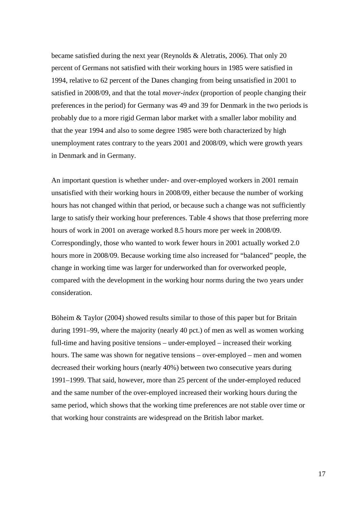became satisfied during the next year (Reynolds & Aletratis, 2006). That only 20 percent of Germans not satisfied with their working hours in 1985 were satisfied in 1994, relative to 62 percent of the Danes changing from being unsatisfied in 2001 to satisfied in 2008/09, and that the total *mover-index* (proportion of people changing their preferences in the period) for Germany was 49 and 39 for Denmark in the two periods is probably due to a more rigid German labor market with a smaller labor mobility and that the year 1994 and also to some degree 1985 were both characterized by high unemployment rates contrary to the years 2001 and 2008/09, which were growth years in Denmark and in Germany.

An important question is whether under- and over-employed workers in 2001 remain unsatisfied with their working hours in 2008/09, either because the number of working hours has not changed within that period, or because such a change was not sufficiently large to satisfy their working hour preferences. Table 4 shows that those preferring more hours of work in 2001 on average worked 8.5 hours more per week in 2008/09. Correspondingly, those who wanted to work fewer hours in 2001 actually worked 2.0 hours more in 2008/09. Because working time also increased for "balanced" people, the change in working time was larger for underworked than for overworked people, compared with the development in the working hour norms during the two years under consideration.

Böheim & Taylor (2004) showed results similar to those of this paper but for Britain during 1991–99, where the majority (nearly 40 pct.) of men as well as women working full-time and having positive tensions – under-employed – increased their working hours. The same was shown for negative tensions – over-employed – men and women decreased their working hours (nearly 40%) between two consecutive years during 1991–1999. That said, however, more than 25 percent of the under-employed reduced and the same number of the over-employed increased their working hours during the same period, which shows that the working time preferences are not stable over time or that working hour constraints are widespread on the British labor market.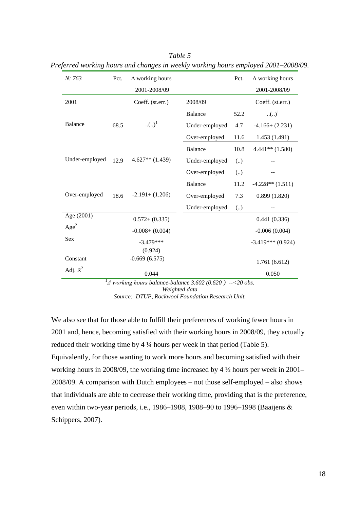| N: 763           | Pct. | $\Delta$ working hours |                | Pct.              | $\Delta$ working hours |
|------------------|------|------------------------|----------------|-------------------|------------------------|
|                  |      | 2001-2008/09           |                |                   | 2001-2008/09           |
| 2001             |      | Coeff. (st.err.)       | 2008/09        |                   | Coeff. (st.err.)       |
|                  |      |                        | <b>Balance</b> | 52.2              | () <sup>1</sup>        |
| <b>Balance</b>   | 68.5 | () <sup>1</sup>        | Under-employed | 4.7               | $-4.166 + (2.231)$     |
|                  |      |                        | Over-employed  | 11.6              | 1.453 (1.491)          |
|                  |      |                        | <b>Balance</b> | 10.8              | $4.441**$ (1.580)      |
| Under-employed   | 12.9 | $4.627**$ (1.439)      | Under-employed | $\left(  \right)$ |                        |
|                  |      |                        | Over-employed  | (.)               |                        |
|                  |      |                        | <b>Balance</b> | 11.2              | $-4.228**$ $(1.511)$   |
| Over-employed    | 18.6 | $-2.191 + (1.206)$     | Over-employed  | 7.3               | 0.899(1.820)           |
|                  |      |                        | Under-employed | (.)               |                        |
| Age (2001)       |      | $0.572 + (0.335)$      |                |                   | 0.441(0.336)           |
| Age <sup>2</sup> |      | $-0.008 + (0.004)$     |                |                   | $-0.006(0.004)$        |
| Sex              |      | $-3.479***$            |                |                   | $-3.419***$ (0.924)    |
|                  |      | (0.924)                |                |                   |                        |
| Constant         |      | $-0.669(6.575)$        |                |                   | 1.761(6.612)           |
| Adj. $R^2$       |      | 0.044                  |                |                   | 0.050                  |

*Table 5 Preferred working hours and changes in weekly working hours employed 2001–2008/09.* 

*1 Δ working hours balance-balance 3.602 (0.620 ) --<20 obs. Weighted data*

*Source: DTUP, Rockwool Foundation Research Unit.*

We also see that for those able to fulfill their preferences of working fewer hours in 2001 and, hence, becoming satisfied with their working hours in 2008/09, they actually reduced their working time by 4 ¼ hours per week in that period (Table 5). Equivalently, for those wanting to work more hours and becoming satisfied with their working hours in 2008/09, the working time increased by 4 ½ hours per week in 2001– 2008/09. A comparison with Dutch employees – not those self-employed – also shows that individuals are able to decrease their working time, providing that is the preference, even within two-year periods, i.e., 1986–1988, 1988–90 to 1996–1998 (Baaijens & Schippers, 2007).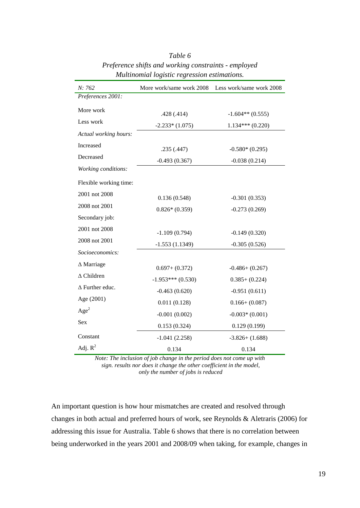| N: 762                 | More work/same work 2008 | Less work/same work 2008 |
|------------------------|--------------------------|--------------------------|
| Preferences 2001:      |                          |                          |
| More work              | .428(.414)               | $-1.604**$ (0.555)       |
| Less work              | $-2.233*(1.075)$         | $1.134***(0.220)$        |
| Actual working hours:  |                          |                          |
| Increased              | .235(.447)               | $-0.580*(0.295)$         |
| Decreased              | $-0.493(0.367)$          | $-0.038(0.214)$          |
| Working conditions:    |                          |                          |
| Flexible working time: |                          |                          |
| 2001 not 2008          | 0.136(0.548)             | $-0.301(0.353)$          |
| 2008 not 2001          | $0.826*(0.359)$          | $-0.273(0.269)$          |
| Secondary job:         |                          |                          |
| 2001 not 2008          | $-1.109(0.794)$          | $-0.149(0.320)$          |
| 2008 not 2001          | $-1.553(1.1349)$         | $-0.305(0.526)$          |
| Socioeconomics:        |                          |                          |
| $\Delta$ Marriage      | $0.697+ (0.372)$         | $-0.486 + (0.267)$       |
| $\Delta$ Children      | $-1.953***(0.530)$       | $0.385+ (0.224)$         |
| $\Delta$ Further educ. | $-0.463(0.620)$          | $-0.951(0.611)$          |
| Age (2001)             | 0.011(0.128)             | $0.166 + (0.087)$        |
| Age <sup>2</sup>       | $-0.001(0.002)$          | $-0.003*(0.001)$         |
| Sex                    | 0.153(0.324)             | 0.129(0.199)             |
| Constant               | $-1.041(2.258)$          | $-3.826 + (1.688)$       |
| Adj. $R^2$             | 0.134                    | 0.134                    |

### *Table 6 Preference shifts and working constraints - employed Multinomial logistic regression estimations.*

*Note: The inclusion of job change in the period does not come up with sign. results nor does it change the other coefficient in the model, only the number of jobs is reduced*

An important question is how hour mismatches are created and resolved through changes in both actual and preferred hours of work, see Reynolds & Aletraris (2006) for addressing this issue for Australia. Table 6 shows that there is no correlation between being underworked in the years 2001 and 2008/09 when taking, for example, changes in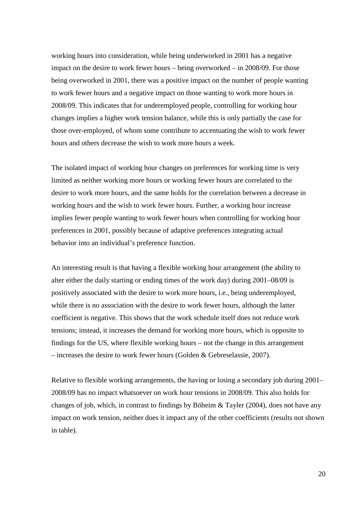working hours into consideration, while being underworked in 2001 has a negative impact on the desire to work fewer hours – being overworked – in 2008/09. For those being overworked in 2001, there was a positive impact on the number of people wanting to work fewer hours and a negative impact on those wanting to work more hours in 2008/09. This indicates that for underemployed people, controlling for working hour changes implies a higher work tension balance, while this is only partially the case for those over-employed, of whom some contribute to accentuating the wish to work fewer hours and others decrease the wish to work more hours a week.

The isolated impact of working hour changes on preferences for working time is very limited as neither working more hours or working fewer hours are correlated to the desire to work more hours, and the same holds for the correlation between a decrease in working hours and the wish to work fewer hours. Further, a working hour increase implies fewer people wanting to work fewer hours when controlling for working hour preferences in 2001, possibly because of adaptive preferences integrating actual behavior into an individual's preference function.

An interesting result is that having a flexible working hour arrangement (the ability to alter either the daily starting or ending times of the work day) during 2001–08/09 is positively associated with the desire to work more hours, i.e., being underemployed, while there is no association with the desire to work fewer hours, although the latter coefficient is negative. This shows that the work schedule itself does not reduce work tensions; instead, it increases the demand for working more hours, which is opposite to findings for the US, where flexible working hours – not the change in this arrangement – increases the desire to work fewer hours (Golden & Gebreselassie, 2007).

Relative to flexible working arrangements, the having or losing a secondary job during 2001– 2008/09 has no impact whatsoever on work hour tensions in 2008/09. This also holds for changes of job, which, in contrast to findings by Böheim & Tayler (2004), does not have any impact on work tension, neither does it impact any of the other coefficients (results not shown in table).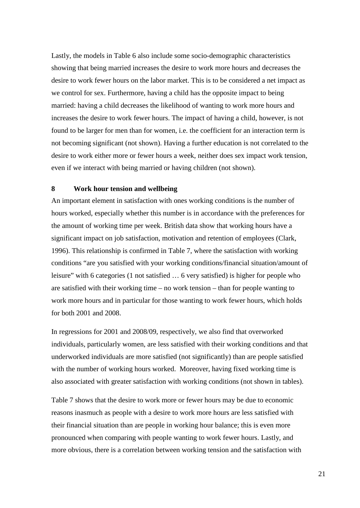Lastly, the models in Table 6 also include some socio-demographic characteristics showing that being married increases the desire to work more hours and decreases the desire to work fewer hours on the labor market. This is to be considered a net impact as we control for sex. Furthermore, having a child has the opposite impact to being married: having a child decreases the likelihood of wanting to work more hours and increases the desire to work fewer hours. The impact of having a child, however, is not found to be larger for men than for women, i.e. the coefficient for an interaction term is not becoming significant (not shown). Having a further education is not correlated to the desire to work either more or fewer hours a week, neither does sex impact work tension, even if we interact with being married or having children (not shown).

#### **8 Work hour tension and wellbeing**

An important element in satisfaction with ones working conditions is the number of hours worked, especially whether this number is in accordance with the preferences for the amount of working time per week. British data show that working hours have a significant impact on job satisfaction, motivation and retention of employees (Clark, 1996). This relationship is confirmed in Table 7, where the satisfaction with working conditions "are you satisfied with your working conditions/financial situation/amount of leisure" with 6 categories (1 not satisfied … 6 very satisfied) is higher for people who are satisfied with their working time – no work tension – than for people wanting to work more hours and in particular for those wanting to work fewer hours, which holds for both 2001 and 2008.

In regressions for 2001 and 2008/09, respectively, we also find that overworked individuals, particularly women, are less satisfied with their working conditions and that underworked individuals are more satisfied (not significantly) than are people satisfied with the number of working hours worked. Moreover, having fixed working time is also associated with greater satisfaction with working conditions (not shown in tables).

Table 7 shows that the desire to work more or fewer hours may be due to economic reasons inasmuch as people with a desire to work more hours are less satisfied with their financial situation than are people in working hour balance; this is even more pronounced when comparing with people wanting to work fewer hours. Lastly, and more obvious, there is a correlation between working tension and the satisfaction with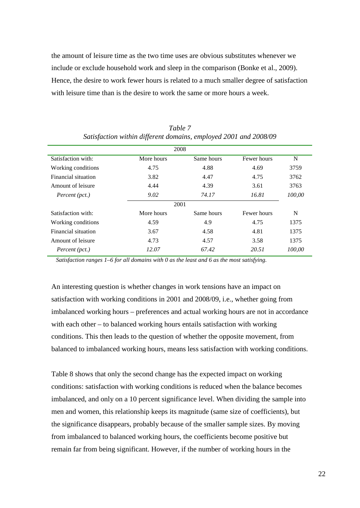the amount of leisure time as the two time uses are obvious substitutes whenever we include or exclude household work and sleep in the comparison (Bonke et al., 2009). Hence, the desire to work fewer hours is related to a much smaller degree of satisfaction with leisure time than is the desire to work the same or more hours a week.

|                     | 2008       |            |             |        |  |  |  |
|---------------------|------------|------------|-------------|--------|--|--|--|
| Satisfaction with:  | More hours | Same hours | Fewer hours | N      |  |  |  |
| Working conditions  | 4.75       | 4.88       | 4.69        | 3759   |  |  |  |
| Financial situation | 3.82       | 4.47       | 4.75        | 3762   |  |  |  |
| Amount of leisure   | 4.44       | 4.39       | 3.61        | 3763   |  |  |  |
| Percent (pct.)      | 9.02       | 74.17      | 16.81       | 100,00 |  |  |  |
| 2001                |            |            |             |        |  |  |  |
| Satisfaction with:  | More hours | Same hours | Fewer hours | N      |  |  |  |
| Working conditions  | 4.59       | 4.9        | 4.75        | 1375   |  |  |  |
| Financial situation | 3.67       | 4.58       | 4.81        | 1375   |  |  |  |
| Amount of leisure   | 4.73       | 4.57       | 3.58        | 1375   |  |  |  |
| Percent (pct.)      | 12.07      | 67.42      | 20.51       | 100.00 |  |  |  |

*Table 7 Satisfaction within different domains, employed 2001 and 2008/09*

*Satisfaction ranges 1–6 for all domains with 0 as the least and 6 as the most satisfying.* 

An interesting question is whether changes in work tensions have an impact on satisfaction with working conditions in 2001 and 2008/09, i.e., whether going from imbalanced working hours – preferences and actual working hours are not in accordance with each other – to balanced working hours entails satisfaction with working conditions. This then leads to the question of whether the opposite movement, from balanced to imbalanced working hours, means less satisfaction with working conditions.

Table 8 shows that only the second change has the expected impact on working conditions: satisfaction with working conditions is reduced when the balance becomes imbalanced, and only on a 10 percent significance level. When dividing the sample into men and women, this relationship keeps its magnitude (same size of coefficients), but the significance disappears, probably because of the smaller sample sizes. By moving from imbalanced to balanced working hours, the coefficients become positive but remain far from being significant. However, if the number of working hours in the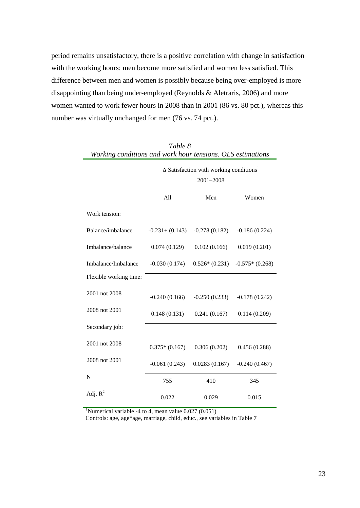period remains unsatisfactory, there is a positive correlation with change in satisfaction with the working hours: men become more satisfied and women less satisfied. This difference between men and women is possibly because being over-employed is more disappointing than being under-employed (Reynolds & Aletraris, 2006) and more women wanted to work fewer hours in 2008 than in 2001 (86 vs. 80 pct.), whereas this number was virtually unchanged for men (76 vs. 74 pct.).

| Working conditions and work hour tensions. OLS estimations |                                                                         |                 |                  |  |  |  |
|------------------------------------------------------------|-------------------------------------------------------------------------|-----------------|------------------|--|--|--|
|                                                            | $\Delta$ Satisfaction with working conditions <sup>1</sup><br>2001-2008 |                 |                  |  |  |  |
|                                                            | All                                                                     | Men             | Women            |  |  |  |
| Work tension:                                              |                                                                         |                 |                  |  |  |  |
| Balance/imbalance                                          | $-0.231 + (0.143)$                                                      | $-0.278(0.182)$ | $-0.186(0.224)$  |  |  |  |
| Imbalance/balance                                          | 0.074(0.129)                                                            | 0.102(0.166)    | 0.019(0.201)     |  |  |  |
| Imbalance/Imbalance                                        | $-0.030(0.174)$                                                         | $0.526*(0.231)$ | $-0.575*(0.268)$ |  |  |  |
| Flexible working time:                                     |                                                                         |                 |                  |  |  |  |
| 2001 not 2008                                              | $-0.240(0.166)$                                                         | $-0.250(0.233)$ | $-0.178(0.242)$  |  |  |  |
| 2008 not 2001                                              | 0.148(0.131)                                                            | 0.241(0.167)    | 0.114(0.209)     |  |  |  |
| Secondary job:                                             |                                                                         |                 |                  |  |  |  |
| 2001 not 2008                                              | $0.375*(0.167)$                                                         | 0.306(0.202)    | 0.456(0.288)     |  |  |  |
| 2008 not 2001                                              | $-0.061(0.243)$                                                         | 0.0283(0.167)   | $-0.240(0.467)$  |  |  |  |
| N                                                          | 755                                                                     | 410             | 345              |  |  |  |
| Adj. $R^2$                                                 | 0.022                                                                   | 0.029           | 0.015            |  |  |  |

|                                                            |  | Table 8 |  |                                                                                                                                                                                                                                                                                                                                    |  |
|------------------------------------------------------------|--|---------|--|------------------------------------------------------------------------------------------------------------------------------------------------------------------------------------------------------------------------------------------------------------------------------------------------------------------------------------|--|
| Working conditions and work hour tensions. OLS estimations |  |         |  |                                                                                                                                                                                                                                                                                                                                    |  |
|                                                            |  |         |  | $\overline{1}$ and $\overline{1}$ and $\overline{1}$ and $\overline{1}$ and $\overline{1}$ and $\overline{1}$ and $\overline{1}$ and $\overline{1}$ and $\overline{1}$ and $\overline{1}$ and $\overline{1}$ and $\overline{1}$ and $\overline{1}$ and $\overline{1}$ and $\overline{1}$ and $\overline{1}$ and $\overline{1}$ and |  |

<sup>1</sup>Numerical variable -4 to 4, mean value  $0.027(0.051)$ 

Controls: age, age\*age, marriage, child, educ., see variables in Table 7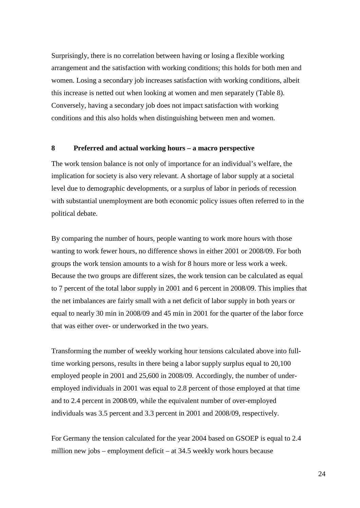Surprisingly, there is no correlation between having or losing a flexible working arrangement and the satisfaction with working conditions; this holds for both men and women. Losing a secondary job increases satisfaction with working conditions, albeit this increase is netted out when looking at women and men separately (Table 8). Conversely, having a secondary job does not impact satisfaction with working conditions and this also holds when distinguishing between men and women.

#### **8 Preferred and actual working hours – a macro perspective**

The work tension balance is not only of importance for an individual's welfare, the implication for society is also very relevant. A shortage of labor supply at a societal level due to demographic developments, or a surplus of labor in periods of recession with substantial unemployment are both economic policy issues often referred to in the political debate.

By comparing the number of hours, people wanting to work more hours with those wanting to work fewer hours, no difference shows in either 2001 or 2008/09. For both groups the work tension amounts to a wish for 8 hours more or less work a week. Because the two groups are different sizes, the work tension can be calculated as equal to 7 percent of the total labor supply in 2001 and 6 percent in 2008/09. This implies that the net imbalances are fairly small with a net deficit of labor supply in both years or equal to nearly 30 min in 2008/09 and 45 min in 2001 for the quarter of the labor force that was either over- or underworked in the two years.

Transforming the number of weekly working hour tensions calculated above into fulltime working persons, results in there being a labor supply surplus equal to 20,100 employed people in 2001 and 25,600 in 2008/09. Accordingly, the number of underemployed individuals in 2001 was equal to 2.8 percent of those employed at that time and to 2.4 percent in 2008/09, while the equivalent number of over-employed individuals was 3.5 percent and 3.3 percent in 2001 and 2008/09, respectively.

For Germany the tension calculated for the year 2004 based on GSOEP is equal to 2.4 million new jobs – employment deficit – at 34.5 weekly work hours because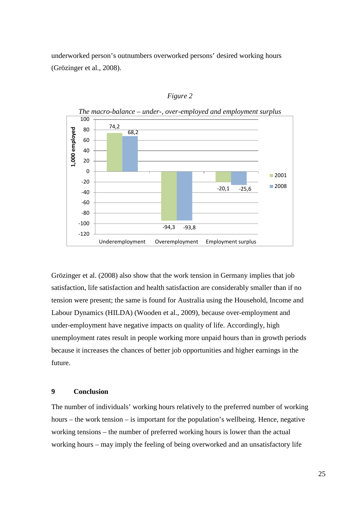underworked person's outnumbers overworked persons' desired working hours (Grözinger et al., 2008).



*Figure 2*

Grözinger et al. (2008) also show that the work tension in Germany implies that job satisfaction, life satisfaction and health satisfaction are considerably smaller than if no tension were present; the same is found for Australia using the Household, Income and Labour Dynamics (HILDA) (Wooden et al., 2009), because over-employment and under-employment have negative impacts on quality of life. Accordingly, high unemployment rates result in people working more unpaid hours than in growth periods because it increases the chances of better job opportunities and higher earnings in the future.

#### **9 Conclusion**

The number of individuals' working hours relatively to the preferred number of working hours – the work tension – is important for the population's wellbeing. Hence, negative working tensions – the number of preferred working hours is lower than the actual working hours – may imply the feeling of being overworked and an unsatisfactory life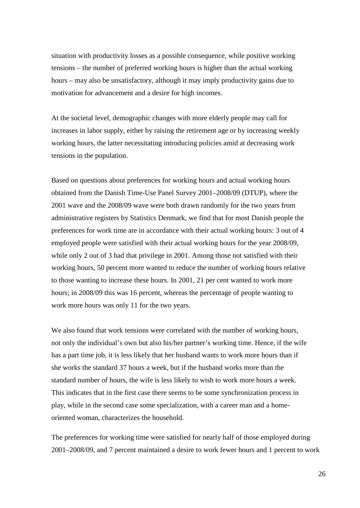situation with productivity losses as a possible consequence, while positive working tensions – the number of preferred working hours is higher than the actual working hours – may also be unsatisfactory, although it may imply productivity gains due to motivation for advancement and a desire for high incomes.

At the societal level, demographic changes with more elderly people may call for increases in labor supply, either by raising the retirement age or by increasing weekly working hours, the latter necessitating introducing policies amid at decreasing work tensions in the population.

Based on questions about preferences for working hours and actual working hours obtained from the Danish Time-Use Panel Survey 2001–2008/09 (DTUP), where the 2001 wave and the 2008/09 wave were both drawn randomly for the two years from administrative registers by Statistics Denmark, we find that for most Danish people the preferences for work time are in accordance with their actual working hours: 3 out of 4 employed people were satisfied with their actual working hours for the year 2008/09, while only 2 out of 3 had that privilege in 2001. Among those not satisfied with their working hours, 50 percent more wanted to reduce the number of working hours relative to those wanting to increase these hours. In 2001, 21 per cent wanted to work more hours; in 2008/09 this was 16 percent, whereas the percentage of people wanting to work more hours was only 11 for the two years.

We also found that work tensions were correlated with the number of working hours, not only the individual's own but also his/her partner's working time. Hence, if the wife has a part time job, it is less likely that her husband wants to work more hours than if she works the standard 37 hours a week, but if the husband works more than the standard number of hours, the wife is less likely to wish to work more hours a week. This indicates that in the first case there seems to be some synchronization process in play, while in the second case some specialization, with a career man and a homeoriented woman, characterizes the household.

The preferences for working time were satisfied for nearly half of those employed during 2001–2008/09, and 7 percent maintained a desire to work fewer hours and 1 percent to work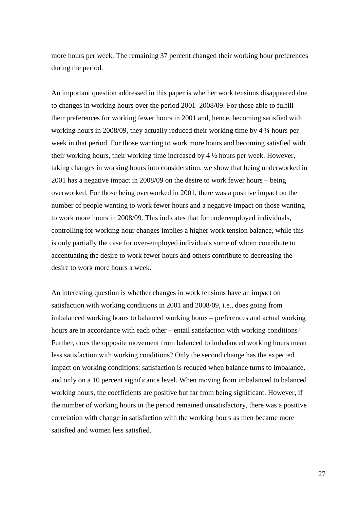more hours per week. The remaining 37 percent changed their working hour preferences during the period.

An important question addressed in this paper is whether work tensions disappeared due to changes in working hours over the period 2001–2008/09. For those able to fulfill their preferences for working fewer hours in 2001 and, hence, becoming satisfied with working hours in 2008/09, they actually reduced their working time by 4 ¼ hours per week in that period. For those wanting to work more hours and becoming satisfied with their working hours, their working time increased by  $4\frac{1}{2}$  hours per week. However, taking changes in working hours into consideration, we show that being underworked in 2001 has a negative impact in 2008/09 on the desire to work fewer hours – being overworked. For those being overworked in 2001, there was a positive impact on the number of people wanting to work fewer hours and a negative impact on those wanting to work more hours in 2008/09. This indicates that for underemployed individuals, controlling for working hour changes implies a higher work tension balance, while this is only partially the case for over-employed individuals some of whom contribute to accentuating the desire to work fewer hours and others contribute to decreasing the desire to work more hours a week.

An interesting question is whether changes in work tensions have an impact on satisfaction with working conditions in 2001 and 2008/09, i.e., does going from imbalanced working hours to balanced working hours – preferences and actual working hours are in accordance with each other – entail satisfaction with working conditions? Further, does the opposite movement from balanced to imbalanced working hours mean less satisfaction with working conditions? Only the second change has the expected impact on working conditions: satisfaction is reduced when balance turns to imbalance, and only on a 10 percent significance level. When moving from imbalanced to balanced working hours, the coefficients are positive but far from being significant. However, if the number of working hours in the period remained unsatisfactory, there was a positive correlation with change in satisfaction with the working hours as men became more satisfied and women less satisfied.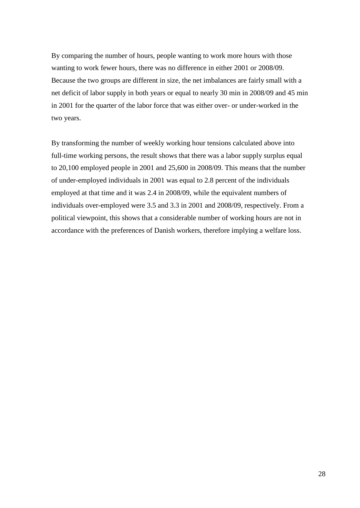By comparing the number of hours, people wanting to work more hours with those wanting to work fewer hours, there was no difference in either 2001 or 2008/09. Because the two groups are different in size, the net imbalances are fairly small with a net deficit of labor supply in both years or equal to nearly 30 min in 2008/09 and 45 min in 2001 for the quarter of the labor force that was either over- or under-worked in the two years.

By transforming the number of weekly working hour tensions calculated above into full-time working persons, the result shows that there was a labor supply surplus equal to 20,100 employed people in 2001 and 25,600 in 2008/09. This means that the number of under-employed individuals in 2001 was equal to 2.8 percent of the individuals employed at that time and it was 2.4 in 2008/09, while the equivalent numbers of individuals over-employed were 3.5 and 3.3 in 2001 and 2008/09, respectively. From a political viewpoint, this shows that a considerable number of working hours are not in accordance with the preferences of Danish workers, therefore implying a welfare loss.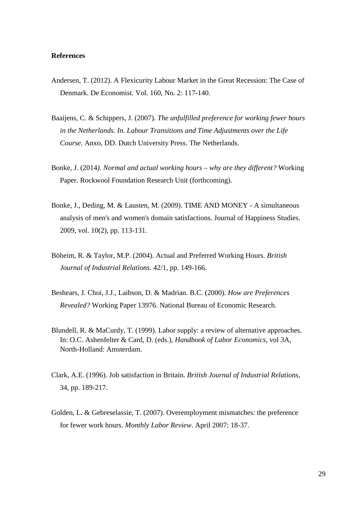#### **References**

- Andersen, T. (2012). A Flexicurity Labour Market in the Great Recession: The Case of Denmark. De Economist. Vol. 160, No. 2: 117-140.
- Baaijens, C. & Schippers, J. (2007). *The unfulfilled preference for working fewer hours in the Netherlands. In. Labour Transitions and Time Adjustments over the Life Course*. Anxo, DD. Dutch University Press. The Netherlands.
- Bonke, J. (2014*). Normal and actual working hours – why are they different?* Working Paper. Rockwool Foundation Research Unit (forthcoming).
- Bonke, J., Deding, M. & Lausten, M. (2009). TIME AND MONEY A simultaneous analysis of men's and women's domain satisfactions. Journal of Happiness Studies. 2009, vol. 10(2), pp. 113-131.
- Böheim, R. & Taylor, M.P. (2004). Actual and Preferred Working Hours. *British Journal of Industrial Relations*. 42/1, pp. 149-166.
- Beshears, J. Choi, J.J., Laibson, D. & Madrian. B.C. (2000). *How are Preferences Revealed?* Working Paper 13976. National Bureau of Economic Research.
- Blundell, R. & MaCurdy, T. (1999). Labor supply: a review of alternative approaches. In: O.C. Ashenfelter & Card, D. (eds.), *Handbook of Labor Economics*, vol 3A, North-Holland: Amsterdam.
- Clark, A.E. (1996). Job satisfaction in Britain. *British Journal of Industrial Relations*, 34, pp. 189-217.
- Golden, L. & Gebreselassie, T. (2007). Overemployment mismatches: the preference for fewer work hours. *Monthly Labor Review*. April 2007: 18-37.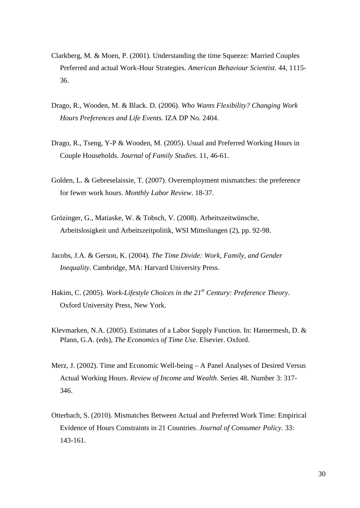- Clarkberg, M. & Moen, P. (2001). Understanding the time Squeeze: Married Couples Preferred and actual Work-Hour Strategies. *American Behaviour Scientist*. 44, 1115- 36.
- Drago, R., Wooden, M. & Black. D. (2006). *Who Wants Flexibility? Changing Work Hours Preferences and Life Events*. IZA DP No. 2404.
- Drago, R., Tseng, Y-P & Wooden, M. (2005). Usual and Preferred Working Hours in Couple Households. *Journal of Family Studies*. 11, 46-61.
- Golden, L. & Gebreselaissie, T. (2007). Overemployment mismatches: the preference for fewer work hours. *Monthly Labor Review*. 18-37.
- Grözinger, G., Matiaske, W. & Tobsch, V. (2008). Arbeitszeitwünsche, Arbeitslosigkeit und Arbeitszeitpolitik, WSI Mitteilungen (2), pp. 92-98.
- Jacobs, J.A. & Gerson, K. (2004). *The Time Divide: Work, Family, and Gender Inequality*. Cambridge, MA: Harvard University Press.
- Hakim, C. (2005). *Work-Lifestyle Choices in the 21st Century: Preference Theory*. Oxford University Press, New York.
- Klevmarken, N.A. (2005). Estimates of a Labor Supply Function. In: Hamermesh, D. & Pfann, G.A. (eds), *The Economics of Time Use*. Elsevier. Oxford.
- Merz, J. (2002). Time and Economic Well-being A Panel Analyses of Desired Versus Actual Working Hours. *Review of Income and Wealth*. Series 48. Number 3: 317- 346.
- Otterbach, S. (2010). Mismatches Between Actual and Preferred Work Time: Empirical Evidence of Hours Constraints in 21 Countries. *Journal of Consumer Policy*. 33: 143-161.